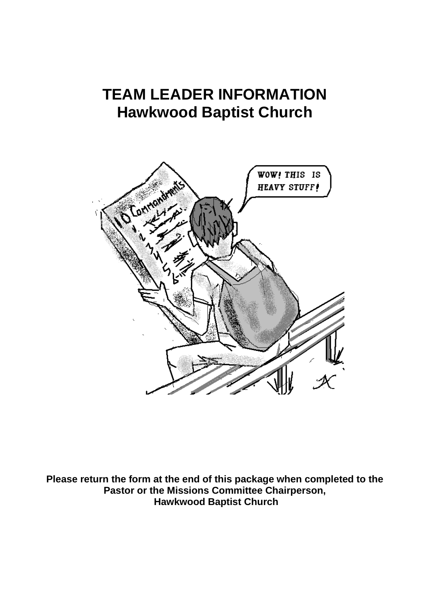# **TEAM LEADER INFORMATION Hawkwood Baptist Church**



**Please return the form at the end of this package when completed to the Pastor or the Missions Committee Chairperson, Hawkwood Baptist Church**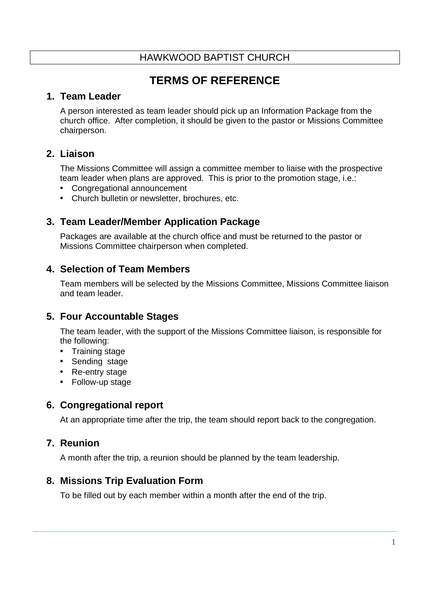# **TERMS OF REFERENCE**

### **1. Team Leader**

A person interested as team leader should pick up an Information Package from the church office. After completion, it should be given to the pastor or Missions Committee chairperson.

## **2. Liaison**

The Missions Committee will assign a committee member to liaise with the prospective team leader when plans are approved. This is prior to the promotion stage, i.e.:

- Congregational announcement
- Church bulletin or newsletter, brochures, etc.

# **3. Team Leader/Member Application Package**

Packages are available at the church office and must be returned to the pastor or Missions Committee chairperson when completed.

# **4. Selection of Team Members**

Team members will be selected by the Missions Committee, Missions Committee liaison and team leader.

## **5. Four Accountable Stages**

The team leader, with the support of the Missions Committee liaison, is responsible for the following:

- Training stage
- Sending stage
- Re-entry stage
- Follow-up stage

## **6. Congregational report**

At an appropriate time after the trip, the team should report back to the congregation.

## **7. Reunion**

A month after the trip, a reunion should be planned by the team leadership.

## **8. Missions Trip Evaluation Form**

To be filled out by each member within a month after the end of the trip.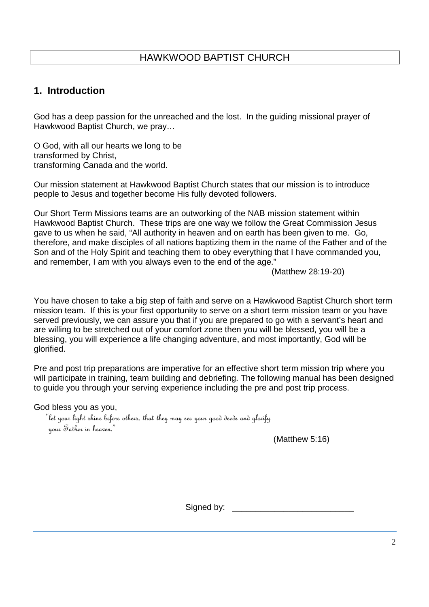## **1. Introduction**

God has a deep passion for the unreached and the lost. In the guiding missional prayer of Hawkwood Baptist Church, we pray…

O God, with all our hearts we long to be transformed by Christ, transforming Canada and the world.

Our mission statement at Hawkwood Baptist Church states that our mission is to introduce people to Jesus and together become His fully devoted followers.

Our Short Term Missions teams are an outworking of the NAB mission statement within Hawkwood Baptist Church. These trips are one way we follow the Great Commission Jesus gave to us when he said, "All authority in heaven and on earth has been given to me. Go, therefore, and make disciples of all nations baptizing them in the name of the Father and of the Son and of the Holy Spirit and teaching them to obey everything that I have commanded you, and remember, I am with you always even to the end of the age."

(Matthew 28:19-20)

You have chosen to take a big step of faith and serve on a Hawkwood Baptist Church short term mission team. If this is your first opportunity to serve on a short term mission team or you have served previously, we can assure you that if you are prepared to go with a servant's heart and are willing to be stretched out of your comfort zone then you will be blessed, you will be a blessing, you will experience a life changing adventure, and most importantly, God will be glorified.

Pre and post trip preparations are imperative for an effective short term mission trip where you will participate in training, team building and debriefing. The following manual has been designed to guide you through your serving experience including the pre and post trip process.

God bless you as you,

 "let your light shine before others, that they may see your good deeds and glorify your Father in heaven."

(Matthew 5:16)

Signed by: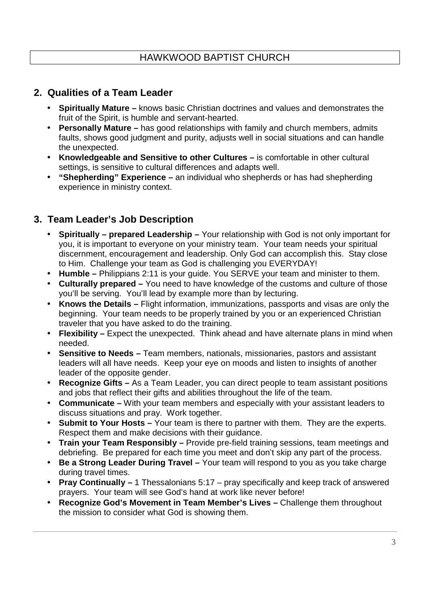## **2. Qualities of a Team Leader**

- **Spiritually Mature** knows basic Christian doctrines and values and demonstrates the fruit of the Spirit, is humble and servant-hearted.
- **Personally Mature –** has good relationships with family and church members, admits faults, shows good judgment and purity, adjusts well in social situations and can handle the unexpected.
- **Knowledgeable and Sensitive to other Cultures** is comfortable in other cultural settings, is sensitive to cultural differences and adapts well.
- **"Shepherding" Experience –** an individual who shepherds or has had shepherding experience in ministry context.

# **3. Team Leader's Job Description**

- **Spiritually prepared Leadership –** Your relationship with God is not only important for you, it is important to everyone on your ministry team. Your team needs your spiritual discernment, encouragement and leadership. Only God can accomplish this. Stay close to Him. Challenge your team as God is challenging you EVERYDAY!
- **Humble** Philippians 2:11 is your guide. You SERVE your team and minister to them.
- **Culturally prepared** You need to have knowledge of the customs and culture of those you'll be serving. You'll lead by example more than by lecturing.
- **Knows the Details** Flight information, immunizations, passports and visas are only the beginning. Your team needs to be properly trained by you or an experienced Christian traveler that you have asked to do the training.
- **Flexibility** Expect the unexpected. Think ahead and have alternate plans in mind when needed.
- **Sensitive to Needs** Team members, nationals, missionaries, pastors and assistant leaders will all have needs. Keep your eye on moods and listen to insights of another leader of the opposite gender.
- **Recognize Gifts** As a Team Leader, you can direct people to team assistant positions and jobs that reflect their gifts and abilities throughout the life of the team.
- **Communicate** With your team members and especially with your assistant leaders to discuss situations and pray. Work together.
- **Submit to Your Hosts** Your team is there to partner with them. They are the experts. Respect them and make decisions with their guidance.
- **Train your Team Responsibly** Provide pre-field training sessions, team meetings and debriefing. Be prepared for each time you meet and don't skip any part of the process.
- **Be a Strong Leader During Travel** Your team will respond to you as you take charge during travel times.
- **Pray Continually** 1 Thessalonians 5:17 pray specifically and keep track of answered prayers. Your team will see God's hand at work like never before!
- **Recognize God's Movement in Team Member's Lives –** Challenge them throughout the mission to consider what God is showing them.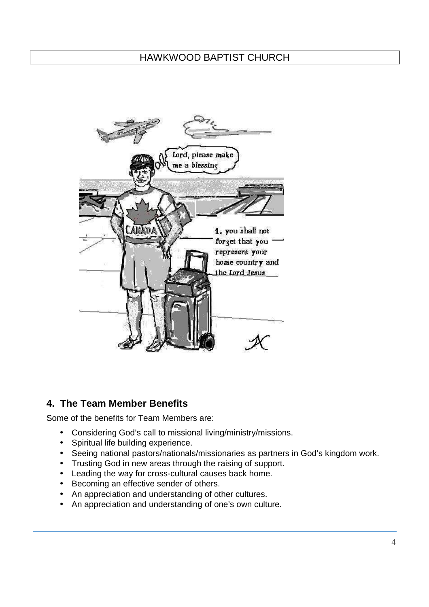

## **4. The Team Member Benefits**

Some of the benefits for Team Members are:

- Considering God's call to missional living/ministry/missions.
- Spiritual life building experience.
- Seeing national pastors/nationals/missionaries as partners in God's kingdom work.
- Trusting God in new areas through the raising of support.
- Leading the way for cross-cultural causes back home.
- Becoming an effective sender of others.
- An appreciation and understanding of other cultures.
- An appreciation and understanding of one's own culture.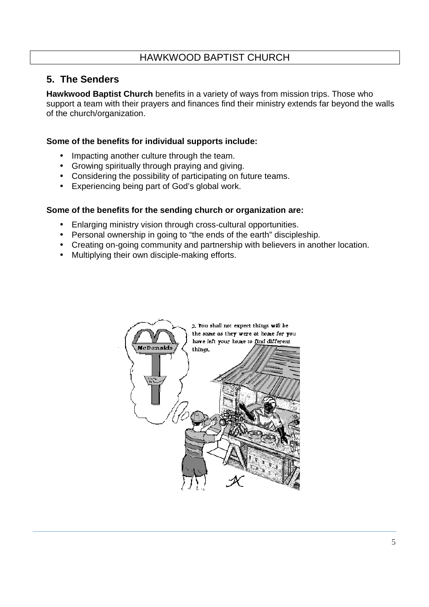# **5. The Senders**

**Hawkwood Baptist Church** benefits in a variety of ways from mission trips. Those who support a team with their prayers and finances find their ministry extends far beyond the walls of the church/organization.

### **Some of the benefits for individual supports include:**

- Impacting another culture through the team.
- Growing spiritually through praying and giving.
- Considering the possibility of participating on future teams.
- Experiencing being part of God's global work.

### **Some of the benefits for the sending church or organization are:**

- Enlarging ministry vision through cross-cultural opportunities.
- Personal ownership in going to "the ends of the earth" discipleship.
- Creating on-going community and partnership with believers in another location.
- Multiplying their own disciple-making efforts.

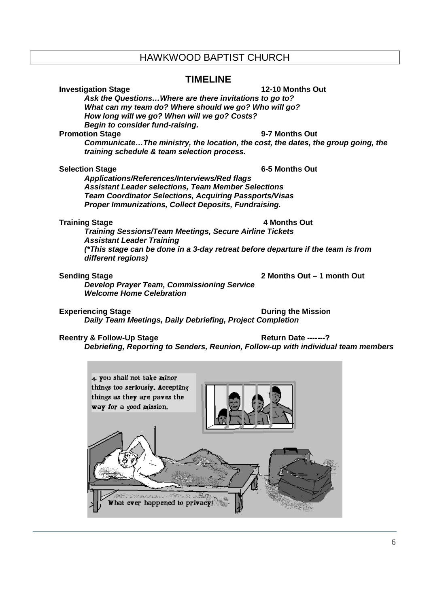### **TIMELINE**

**Investigation Stage 12-10 Months Out 12-10 Months Out Ask the Questions…Where are there invitations to go to? What can my team do? Where should we go? Who will go? How long will we go? When will we go? Costs? Begin to consider fund-raising.** 

### **Promotion Stage 6-7 Months Out 1949**

**Communicate…The ministry, the location, the cost, the dates, the group going, the training schedule & team selection process.** 

### **Selection Stage 6-5 Months Out**

**Applications/References/Interviews/Red flags Assistant Leader selections, Team Member Selections Team Coordinator Selections, Acquiring Passports/Visas Proper Immunizations, Collect Deposits, Fundraising.** 

### **Training Stage 4 Months Out 1999 12:33 Training Stage 4 Months Out 1999 12:33 Training Stage 12:33 Training Stage 12:33 Training Stage 12:33 Training Stage 12:33 Training Stage 12:33 Training Stage 12:33 Training Stage 12**

**Training Sessions/Team Meetings, Secure Airline Tickets Assistant Leader Training (\*This stage can be done in a 3-day retreat before departure if the team is from different regions)** 

### **Sending Stage 2 Months Out – 1 month Out**

**Develop Prayer Team, Commissioning Service Welcome Home Celebration** 

**Experiencing Stage During the Mission Daily Team Meetings, Daily Debriefing, Project Completion** 

### **Reentry & Follow-Up Stage Access Access Access Return Date -------?**

**Debriefing, Reporting to Senders, Reunion, Follow-up with individual team members** 

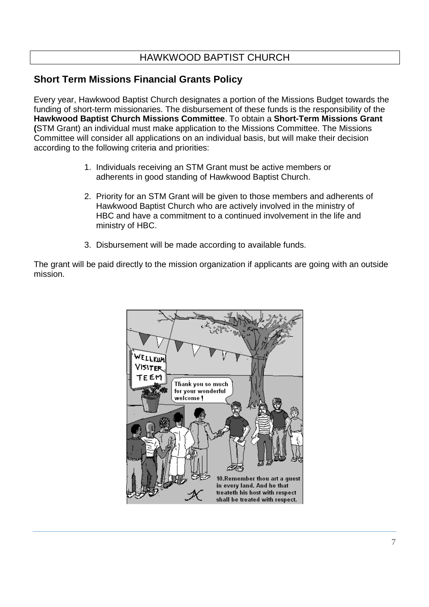# **Short Term Missions Financial Grants Policy**

Every year, Hawkwood Baptist Church designates a portion of the Missions Budget towards the funding of short-term missionaries. The disbursement of these funds is the responsibility of the **Hawkwood Baptist Church Missions Committee**. To obtain a **Short-Term Missions Grant (**STM Grant) an individual must make application to the Missions Committee. The Missions Committee will consider all applications on an individual basis, but will make their decision according to the following criteria and priorities:

- 1. Individuals receiving an STM Grant must be active members or adherents in good standing of Hawkwood Baptist Church.
- 2. Priority for an STM Grant will be given to those members and adherents of Hawkwood Baptist Church who are actively involved in the ministry of HBC and have a commitment to a continued involvement in the life and ministry of HBC.
- 3. Disbursement will be made according to available funds.

The grant will be paid directly to the mission organization if applicants are going with an outside mission.

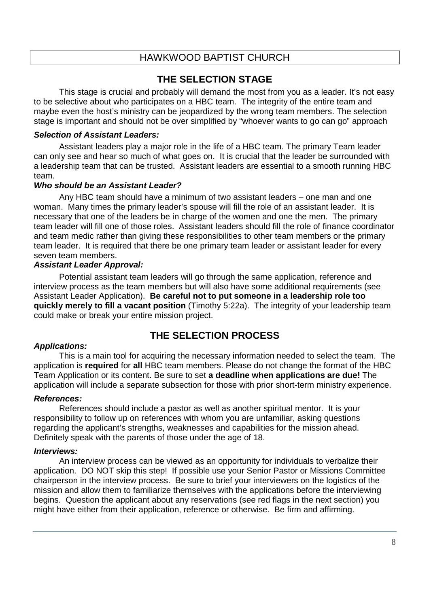# **THE SELECTION STAGE**

This stage is crucial and probably will demand the most from you as a leader. It's not easy to be selective about who participates on a HBC team. The integrity of the entire team and maybe even the host's ministry can be jeopardized by the wrong team members. The selection stage is important and should not be over simplified by "whoever wants to go can go" approach

### **Selection of Assistant Leaders:**

Assistant leaders play a major role in the life of a HBC team. The primary Team leader can only see and hear so much of what goes on. It is crucial that the leader be surrounded with a leadership team that can be trusted. Assistant leaders are essential to a smooth running HBC team.

### **Who should be an Assistant Leader?**

Any HBC team should have a minimum of two assistant leaders – one man and one woman. Many times the primary leader's spouse will fill the role of an assistant leader. It is necessary that one of the leaders be in charge of the women and one the men. The primary team leader will fill one of those roles. Assistant leaders should fill the role of finance coordinator and team medic rather than giving these responsibilities to other team members or the primary team leader. It is required that there be one primary team leader or assistant leader for every seven team members.

### **Assistant Leader Approval:**

Potential assistant team leaders will go through the same application, reference and interview process as the team members but will also have some additional requirements (see Assistant Leader Application). **Be careful not to put someone in a leadership role too quickly merely to fill a vacant position** (Timothy 5:22a). The integrity of your leadership team could make or break your entire mission project.

## **THE SELECTION PROCESS**

### **Applications:**

This is a main tool for acquiring the necessary information needed to select the team. The application is **required** for **all** HBC team members. Please do not change the format of the HBC Team Application or its content. Be sure to set **a deadline when applications are due!** The application will include a separate subsection for those with prior short-term ministry experience.

### **References:**

References should include a pastor as well as another spiritual mentor. It is your responsibility to follow up on references with whom you are unfamiliar, asking questions regarding the applicant's strengths, weaknesses and capabilities for the mission ahead. Definitely speak with the parents of those under the age of 18.

### **Interviews:**

An interview process can be viewed as an opportunity for individuals to verbalize their application. DO NOT skip this step! If possible use your Senior Pastor or Missions Committee chairperson in the interview process. Be sure to brief your interviewers on the logistics of the mission and allow them to familiarize themselves with the applications before the interviewing begins. Question the applicant about any reservations (see red flags in the next section) you might have either from their application, reference or otherwise. Be firm and affirming.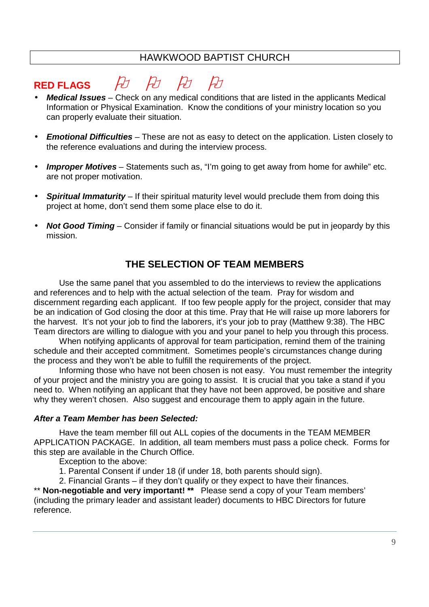# RED FLAGS FO FO FO

- **Medical Issues** Check on any medical conditions that are listed in the applicants Medical Information or Physical Examination. Know the conditions of your ministry location so you can properly evaluate their situation.
- **Emotional Difficulties** These are not as easy to detect on the application. Listen closely to the reference evaluations and during the interview process.
- **Improper Motives** Statements such as, "I'm going to get away from home for awhile" etc. are not proper motivation.
- **Spiritual Immaturity** If their spiritual maturity level would preclude them from doing this project at home, don't send them some place else to do it.
- **Not Good Timing** Consider if family or financial situations would be put in jeopardy by this mission.

## **THE SELECTION OF TEAM MEMBERS**

Use the same panel that you assembled to do the interviews to review the applications and references and to help with the actual selection of the team. Pray for wisdom and discernment regarding each applicant. If too few people apply for the project, consider that may be an indication of God closing the door at this time. Pray that He will raise up more laborers for the harvest. It's not your job to find the laborers, it's your job to pray (Matthew 9:38). The HBC Team directors are willing to dialogue with you and your panel to help you through this process.

 When notifying applicants of approval for team participation, remind them of the training schedule and their accepted commitment. Sometimes people's circumstances change during the process and they won't be able to fulfill the requirements of the project.

 Informing those who have not been chosen is not easy. You must remember the integrity of your project and the ministry you are going to assist. It is crucial that you take a stand if you need to. When notifying an applicant that they have not been approved, be positive and share why they weren't chosen. Also suggest and encourage them to apply again in the future.

### **After a Team Member has been Selected:**

Have the team member fill out ALL copies of the documents in the TEAM MEMBER APPLICATION PACKAGE. In addition, all team members must pass a police check. Forms for this step are available in the Church Office.

Exception to the above:

1. Parental Consent if under 18 (if under 18, both parents should sign).

2. Financial Grants – if they don't qualify or they expect to have their finances.

\*\* **Non-negotiable and very important!** \*\* Please send a copy of your Team members' (including the primary leader and assistant leader) documents to HBC Directors for future reference.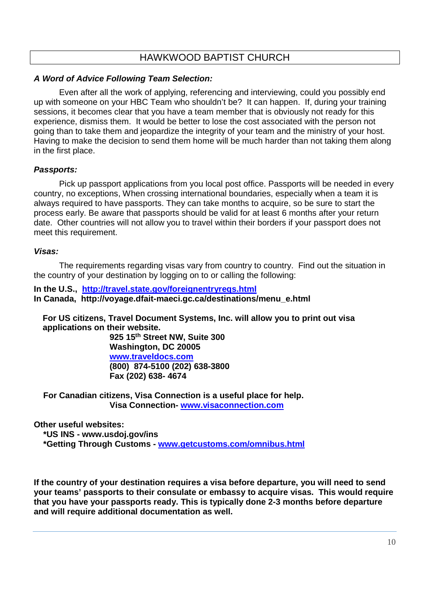### **A Word of Advice Following Team Selection:**

Even after all the work of applying, referencing and interviewing, could you possibly end up with someone on your HBC Team who shouldn't be? It can happen. If, during your training sessions, it becomes clear that you have a team member that is obviously not ready for this experience, dismiss them. It would be better to lose the cost associated with the person not going than to take them and jeopardize the integrity of your team and the ministry of your host. Having to make the decision to send them home will be much harder than not taking them along in the first place.

### **Passports:**

 Pick up passport applications from you local post office. Passports will be needed in every country, no exceptions, When crossing international boundaries, especially when a team it is always required to have passports. They can take months to acquire, so be sure to start the process early. Be aware that passports should be valid for at least 6 months after your return date. Other countries will not allow you to travel within their borders if your passport does not meet this requirement.

### **Visas:**

The requirements regarding visas vary from country to country. Find out the situation in the country of your destination by logging on to or calling the following:

**In the U.S., http://travel.state.gov/foreignentryreqs.html In Canada, http://voyage.dfait-maeci.gc.ca/destinations/menu\_e.html** 

**For US citizens, Travel Document Systems, Inc. will allow you to print out visa applications on their website.** 

**925 15th Street NW, Suite 300 Washington, DC 20005 www.traveldocs.com (800) 874-5100 (202) 638-3800 Fax (202) 638- 4674** 

 **For Canadian citizens, Visa Connection is a useful place for help. Visa Connection- www.visaconnection.com**

**Other useful websites:** 

 **\*US INS - www.usdoj.gov/ins** 

 **\*Getting Through Customs - www.getcustoms.com/omnibus.html**

**If the country of your destination requires a visa before departure, you will need to send your teams' passports to their consulate or embassy to acquire visas. This would require that you have your passports ready. This is typically done 2-3 months before departure and will require additional documentation as well.**